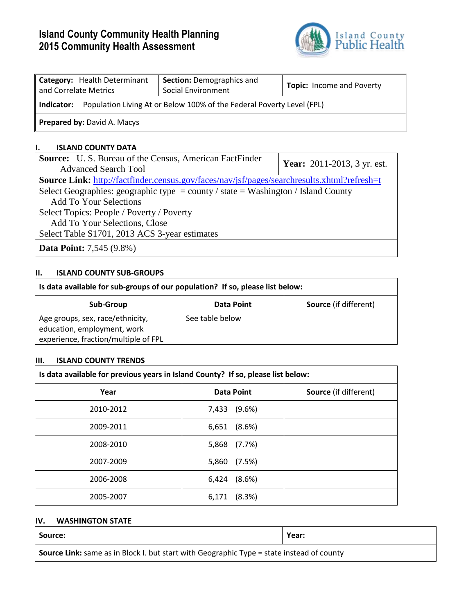# **Island County Community Health Planning 2015 Community Health Assessment**



| Category: Health Determinant<br>and Correlate Metrics                               | <b>Section: Demographics and</b><br>Social Environment | <b>Topic:</b> Income and Poverty |  |
|-------------------------------------------------------------------------------------|--------------------------------------------------------|----------------------------------|--|
| Population Living At or Below 100% of the Federal Poverty Level (FPL)<br>Indicator: |                                                        |                                  |  |
| <b>Prepared by: David A. Macys</b>                                                  |                                                        |                                  |  |

#### **I. ISLAND COUNTY DATA**

| <b>Source:</b> U.S. Bureau of the Census, American FactFinder                               | <b>Year:</b> 2011-2013, 3 yr. est. |  |  |
|---------------------------------------------------------------------------------------------|------------------------------------|--|--|
| <b>Advanced Search Tool</b>                                                                 |                                    |  |  |
| Source Link: http://factfinder.census.gov/faces/nav/jsf/pages/searchresults.xhtml?refresh=t |                                    |  |  |
| Select Geographies: geographic type = county / state = Washington / Island County           |                                    |  |  |
| <b>Add To Your Selections</b>                                                               |                                    |  |  |
| Select Topics: People / Poverty / Poverty                                                   |                                    |  |  |
| Add To Your Selections, Close                                                               |                                    |  |  |
| Select Table S1701, 2013 ACS 3-year estimates                                               |                                    |  |  |
| <b>Data Point:</b> 7,545 (9.8%)                                                             |                                    |  |  |

### **II. ISLAND COUNTY SUB-GROUPS**

| Is data available for sub-groups of our population? If so, please list below: |                 |                              |  |
|-------------------------------------------------------------------------------|-----------------|------------------------------|--|
| Sub-Group                                                                     | Data Point      | <b>Source</b> (if different) |  |
| Age groups, sex, race/ethnicity,<br>education, employment, work               | See table below |                              |  |
| experience, fraction/multiple of FPL                                          |                 |                              |  |

#### **III. ISLAND COUNTY TRENDS**

| Is data available for previous years in Island County? If so, please list below: |                 |                              |  |
|----------------------------------------------------------------------------------|-----------------|------------------------------|--|
| Year                                                                             | Data Point      | <b>Source</b> (if different) |  |
| 2010-2012                                                                        | (9.6%)<br>7,433 |                              |  |
| 2009-2011                                                                        | (8.6%)<br>6,651 |                              |  |
| 2008-2010                                                                        | 5,868<br>(7.7%) |                              |  |
| 2007-2009                                                                        | (7.5%)<br>5,860 |                              |  |
| 2006-2008                                                                        | 6,424<br>(8.6%) |                              |  |
| 2005-2007                                                                        | (8.3%)<br>6,171 |                              |  |

### **IV. WASHINGTON STATE**

| Source:                                                                                   | Year: |  |
|-------------------------------------------------------------------------------------------|-------|--|
| Source Link: same as in Block I. but start with Geographic Type = state instead of county |       |  |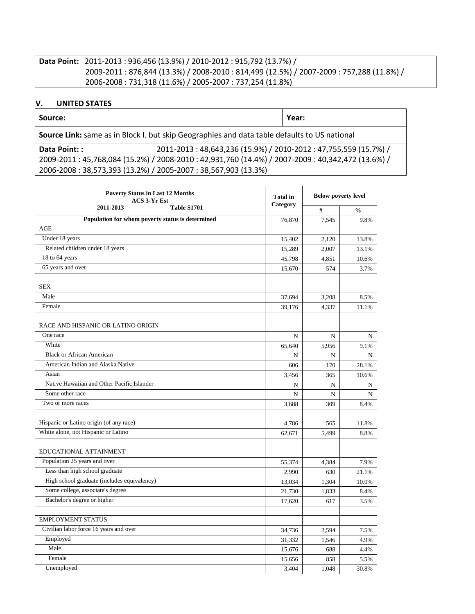## **Data Point:** 2011-2013 : 936,456 (13.9%) / 2010-2012 : 915,792 (13.7%) / 2009-2011 : 876,844 (13.3%) / 2008-2010 : 814,499 (12.5%) / 2007-2009 : 757,288 (11.8%) / 2006-2008 : 731,318 (11.6%) / 2005-2007 : 737,254 (11.8%)

#### **V. UNITED STATES**

| Source:                                                                                      |                                                               | Year: |
|----------------------------------------------------------------------------------------------|---------------------------------------------------------------|-------|
| Source Link: same as in Block I. but skip Geographies and data table defaults to US national |                                                               |       |
| Data Point: :                                                                                | 2011-2013:48,643,236 (15.9%) / 2010-2012:47,755,559 (15.7%) / |       |

2009-2011 : 45,768,084 (15.2%) / 2008-2010 : 42,931,760 (14.4%) / 2007-2009 : 40,342,472 (13.6%) / 2006-2008 : 38,573,393 (13.2%) / 2005-2007 : 38,567,903 (13.3%)

| <b>Poverty Status in Last 12 Months</b><br><b>ACS 3-Yr Est</b> | <b>Total</b> in<br>Category | <b>Below poverty level</b> |               |
|----------------------------------------------------------------|-----------------------------|----------------------------|---------------|
| 2011-2013<br>Table S1701                                       |                             | #                          | $\frac{0}{0}$ |
| Population for whom poverty status is determined               | 76,870                      | 7,545                      | 9.8%          |
| AGE                                                            |                             |                            |               |
| Under 18 years                                                 | 15,402                      | 2,120                      | 13.8%         |
| Related children under 18 years                                | 15,289                      | 2,007                      | 13.1%         |
| 18 to 64 years                                                 | 45,798                      | 4,851                      | 10.6%         |
| 65 years and over                                              | 15,670                      | 574                        | 3.7%          |
|                                                                |                             |                            |               |
| <b>SEX</b>                                                     |                             |                            |               |
| Male                                                           | 37,694                      | 3,208                      | 8.5%          |
| Female                                                         | 39,176                      | 4,337                      | 11.1%         |
| RACE AND HISPANIC OR LATINO ORIGIN                             |                             |                            |               |
| One race                                                       | N                           | N                          | N             |
| White                                                          | 65,640                      | 5,956                      | 9.1%          |
| <b>Black or African American</b>                               | N                           | N                          | N             |
| American Indian and Alaska Native                              | 606                         | 170                        | 28.1%         |
| Asian                                                          | 3,456                       | 365                        | 10.6%         |
| Native Hawaiian and Other Pacific Islander                     | N                           | N                          |               |
| Some other race                                                | $\mathbf N$                 | N                          | N<br>N        |
| Two or more races                                              | 3,688                       | 309                        | 8.4%          |
|                                                                |                             |                            |               |
| Hispanic or Latino origin (of any race)                        | 4,786                       | 565                        | 11.8%         |
| White alone, not Hispanic or Latino                            | 62,671                      | 5,499                      | 8.8%          |
|                                                                |                             |                            |               |
| EDUCATIONAL ATTAINMENT                                         |                             |                            |               |
| Population 25 years and over                                   | 55,374                      | 4,384                      | 7.9%          |
| Less than high school graduate                                 | 2,990                       | 630                        | 21.1%         |
| High school graduate (includes equivalency)                    | 13,034                      | 1,304                      | 10.0%         |
| Some college, associate's degree                               | 21,730                      | 1,833                      | 8.4%          |
| Bachelor's degree or higher                                    | 17,620                      | 617                        | 3.5%          |
|                                                                |                             |                            |               |
| <b>EMPLOYMENT STATUS</b>                                       |                             |                            |               |
| Civilian labor force 16 years and over                         | 34,736                      | 2,594                      | 7.5%          |
| Employed                                                       | 31,332                      | 1,546                      | 4.9%          |
| Male                                                           | 15,676                      | 688                        | 4.4%          |
| Female                                                         | 15,656                      | 858                        | 5.5%          |
| Unemployed                                                     | 3,404                       | 1,048                      | 30.8%         |